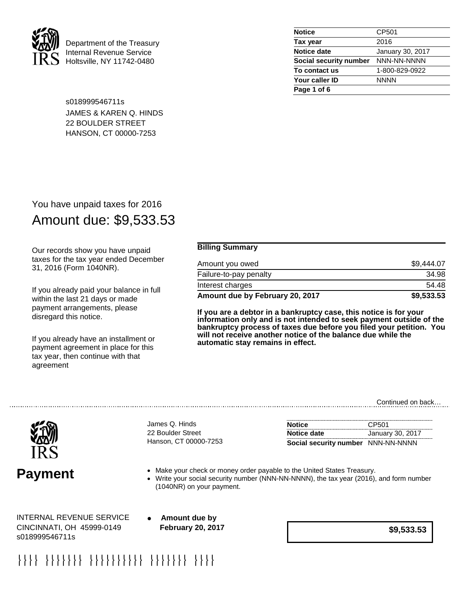

Department of the Treasury Internal Revenue Service Holtsville, NY 11742-0480

| <b>Notice</b>          | CP501            |
|------------------------|------------------|
| Tax year               | 2016             |
| Notice date            | January 30, 2017 |
| Social security number | NNN-NN-NNNN      |
| To contact us          | 1-800-829-0922   |
| Your caller ID         | <b>NNNN</b>      |
| Page 1 of 6            |                  |

s018999546711s JAMES & KAREN Q. HINDS 22 BOULDER STREET HANSON, CT 00000-7253

## You have unpaid taxes for 2016 Amount due: \$9,533.53

Our records show you have unpaid taxes for the tax year ended December 31, 2016 (Form 1040NR).

If you already paid your balance in full within the last 21 days or made payment arrangements, please disregard this notice.

If you already have an installment or payment agreement in place for this tax year, then continue with that agreement

### **Billing Summary**

| Amount due by February 20, 2017 | \$9,533.53 |
|---------------------------------|------------|
| Interest charges                | 54.48      |
| Failure-to-pay penalty          | 34.98      |
| Amount you owed                 | \$9.444.07 |
|                                 |            |

**If you are a debtor in a bankruptcy case, this notice is for your information only and is not intended to seek payment outside of the bankruptcy process of taxes due before you filed your petition. You will not receive another notice of the balance due while the automatic stay remains in effect.**

### Continued on back…



James Q. Hinds 22 Boulder Street Hanson, CT 00000-7253

| Notice                             |                  |
|------------------------------------|------------------|
| Notice date                        | January 30, 2017 |
| Social security number NNN-NN-NNNN |                  |

**Payment** • Make your check or money order payable to the United States Treasury.<br>• Write your social security number (NNN-NN-NNNN), the tax year (2016), and form number (1040NR) on your payment.

INTERNAL REVENUE SERVICE CINCINNATI, OH 45999-0149 s018999546711s

• **Amount due by February 20, 2017**

**\$9,533.53**

#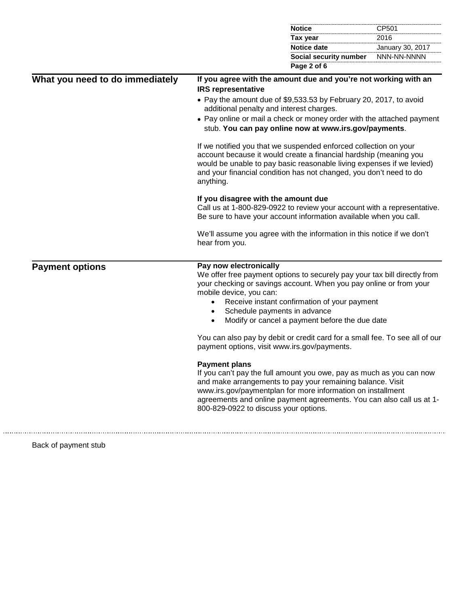|                                 |                                                                                                                                                                                                                                                                                                   | <b>Notice</b>                                                                                                                                   | CP501            |
|---------------------------------|---------------------------------------------------------------------------------------------------------------------------------------------------------------------------------------------------------------------------------------------------------------------------------------------------|-------------------------------------------------------------------------------------------------------------------------------------------------|------------------|
|                                 |                                                                                                                                                                                                                                                                                                   | Tax year                                                                                                                                        | 2016             |
|                                 |                                                                                                                                                                                                                                                                                                   | <b>Notice date</b>                                                                                                                              | January 30, 2017 |
|                                 |                                                                                                                                                                                                                                                                                                   | Social security number                                                                                                                          | NNN-NN-NNNN      |
|                                 |                                                                                                                                                                                                                                                                                                   | Page 2 of 6                                                                                                                                     |                  |
| What you need to do immediately | <b>IRS representative</b>                                                                                                                                                                                                                                                                         | If you agree with the amount due and you're not working with an                                                                                 |                  |
|                                 | additional penalty and interest charges.                                                                                                                                                                                                                                                          | • Pay the amount due of \$9,533.53 by February 20, 2017, to avoid                                                                               |                  |
|                                 |                                                                                                                                                                                                                                                                                                   | • Pay online or mail a check or money order with the attached payment<br>stub. You can pay online now at www.irs.gov/payments.                  |                  |
|                                 | If we notified you that we suspended enforced collection on your<br>account because it would create a financial hardship (meaning you<br>would be unable to pay basic reasonable living expenses if we levied)<br>and your financial condition has not changed, you don't need to do<br>anything. |                                                                                                                                                 |                  |
|                                 | If you disagree with the amount due<br>Call us at 1-800-829-0922 to review your account with a representative.<br>Be sure to have your account information available when you call.                                                                                                               |                                                                                                                                                 |                  |
|                                 | hear from you.                                                                                                                                                                                                                                                                                    | We'll assume you agree with the information in this notice if we don't                                                                          |                  |
| <b>Payment options</b>          | Pay now electronically                                                                                                                                                                                                                                                                            |                                                                                                                                                 |                  |
|                                 | mobile device, you can:                                                                                                                                                                                                                                                                           | We offer free payment options to securely pay your tax bill directly from<br>your checking or savings account. When you pay online or from your |                  |
|                                 | $\bullet$                                                                                                                                                                                                                                                                                         | Receive instant confirmation of your payment                                                                                                    |                  |
|                                 | $\bullet$                                                                                                                                                                                                                                                                                         | Schedule payments in advance                                                                                                                    |                  |
|                                 | $\bullet$                                                                                                                                                                                                                                                                                         | Modify or cancel a payment before the due date                                                                                                  |                  |
|                                 | payment options, visit www.irs.gov/payments.                                                                                                                                                                                                                                                      | You can also pay by debit or credit card for a small fee. To see all of our                                                                     |                  |
|                                 | <b>Payment plans</b>                                                                                                                                                                                                                                                                              |                                                                                                                                                 |                  |
|                                 |                                                                                                                                                                                                                                                                                                   | If you can't pay the full amount you owe, pay as much as you can now<br>and make arrangements to pay your remaining balance. Visit              |                  |
|                                 | agreements and online payment agreements. You can also call us at 1-                                                                                                                                                                                                                              | www.irs.gov/paymentplan for more information on installment                                                                                     |                  |

Back of payment stub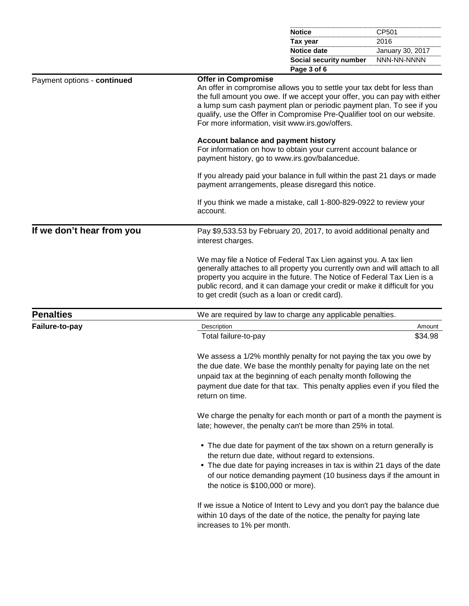|                             |                                                                                                                                                                                                                                                                                                                                                                                          | <b>Notice</b>                                                                                                            | CP501            |
|-----------------------------|------------------------------------------------------------------------------------------------------------------------------------------------------------------------------------------------------------------------------------------------------------------------------------------------------------------------------------------------------------------------------------------|--------------------------------------------------------------------------------------------------------------------------|------------------|
|                             |                                                                                                                                                                                                                                                                                                                                                                                          | Tax year<br><b>Notice date</b>                                                                                           | 2016             |
|                             |                                                                                                                                                                                                                                                                                                                                                                                          |                                                                                                                          | January 30, 2017 |
|                             |                                                                                                                                                                                                                                                                                                                                                                                          | Social security number                                                                                                   | NNN-NN-NNNN      |
|                             |                                                                                                                                                                                                                                                                                                                                                                                          | Page 3 of 6                                                                                                              |                  |
| Payment options - continued | <b>Offer in Compromise</b><br>An offer in compromise allows you to settle your tax debt for less than<br>the full amount you owe. If we accept your offer, you can pay with either<br>a lump sum cash payment plan or periodic payment plan. To see if you<br>qualify, use the Offer in Compromise Pre-Qualifier tool on our website.<br>For more information, visit www.irs.gov/offers. |                                                                                                                          |                  |
|                             | Account balance and payment history<br>For information on how to obtain your current account balance or<br>payment history, go to www.irs.gov/balancedue.                                                                                                                                                                                                                                |                                                                                                                          |                  |
|                             | If you already paid your balance in full within the past 21 days or made<br>payment arrangements, please disregard this notice.                                                                                                                                                                                                                                                          |                                                                                                                          |                  |
|                             | If you think we made a mistake, call 1-800-829-0922 to review your<br>account.                                                                                                                                                                                                                                                                                                           |                                                                                                                          |                  |
| If we don't hear from you   | Pay \$9,533.53 by February 20, 2017, to avoid additional penalty and<br>interest charges.                                                                                                                                                                                                                                                                                                |                                                                                                                          |                  |
|                             | We may file a Notice of Federal Tax Lien against you. A tax lien<br>generally attaches to all property you currently own and will attach to all<br>property you acquire in the future. The Notice of Federal Tax Lien is a<br>public record, and it can damage your credit or make it difficult for you<br>to get credit (such as a loan or credit card).                                |                                                                                                                          |                  |
| <b>Penalties</b>            | We are required by law to charge any applicable penalties.                                                                                                                                                                                                                                                                                                                               |                                                                                                                          |                  |
| Failure-to-pay              | Description                                                                                                                                                                                                                                                                                                                                                                              |                                                                                                                          | Amount           |
|                             | Total failure-to-pay                                                                                                                                                                                                                                                                                                                                                                     |                                                                                                                          | \$34.98          |
|                             | We assess a 1/2% monthly penalty for not paying the tax you owe by<br>the due date. We base the monthly penalty for paying late on the net<br>unpaid tax at the beginning of each penalty month following the<br>payment due date for that tax. This penalty applies even if you filed the<br>return on time.                                                                            |                                                                                                                          |                  |
|                             | We charge the penalty for each month or part of a month the payment is<br>late; however, the penalty can't be more than 25% in total.                                                                                                                                                                                                                                                    |                                                                                                                          |                  |
|                             | • The due date for payment of the tax shown on a return generally is<br>• The due date for paying increases in tax is within 21 days of the date<br>the notice is \$100,000 or more).                                                                                                                                                                                                    | the return due date, without regard to extensions.<br>of our notice demanding payment (10 business days if the amount in |                  |
|                             | If we issue a Notice of Intent to Levy and you don't pay the balance due<br>within 10 days of the date of the notice, the penalty for paying late<br>increases to 1% per month.                                                                                                                                                                                                          |                                                                                                                          |                  |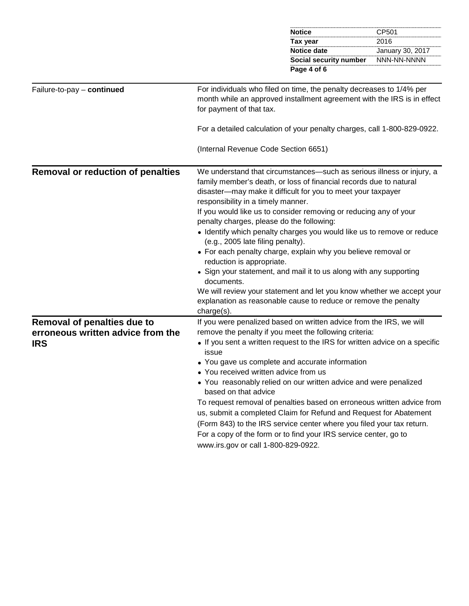|                                                                                |                                                                                                                                                                                                                                                                                                                                                                                                                                                                                                                                                                                                                                                                                                                                                                                                                                | <b>Notice</b>          | CP501            |  |
|--------------------------------------------------------------------------------|--------------------------------------------------------------------------------------------------------------------------------------------------------------------------------------------------------------------------------------------------------------------------------------------------------------------------------------------------------------------------------------------------------------------------------------------------------------------------------------------------------------------------------------------------------------------------------------------------------------------------------------------------------------------------------------------------------------------------------------------------------------------------------------------------------------------------------|------------------------|------------------|--|
|                                                                                |                                                                                                                                                                                                                                                                                                                                                                                                                                                                                                                                                                                                                                                                                                                                                                                                                                | <b>Tax year</b>        | 2016             |  |
|                                                                                |                                                                                                                                                                                                                                                                                                                                                                                                                                                                                                                                                                                                                                                                                                                                                                                                                                | Notice date            | January 30, 2017 |  |
|                                                                                |                                                                                                                                                                                                                                                                                                                                                                                                                                                                                                                                                                                                                                                                                                                                                                                                                                | Social security number | NNN-NN-NNNN      |  |
|                                                                                |                                                                                                                                                                                                                                                                                                                                                                                                                                                                                                                                                                                                                                                                                                                                                                                                                                | Page 4 of 6            |                  |  |
| Failure-to-pay - continued                                                     | For individuals who filed on time, the penalty decreases to 1/4% per<br>month while an approved installment agreement with the IRS is in effect<br>for payment of that tax.                                                                                                                                                                                                                                                                                                                                                                                                                                                                                                                                                                                                                                                    |                        |                  |  |
|                                                                                | For a detailed calculation of your penalty charges, call 1-800-829-0922.                                                                                                                                                                                                                                                                                                                                                                                                                                                                                                                                                                                                                                                                                                                                                       |                        |                  |  |
|                                                                                | (Internal Revenue Code Section 6651)                                                                                                                                                                                                                                                                                                                                                                                                                                                                                                                                                                                                                                                                                                                                                                                           |                        |                  |  |
| <b>Removal or reduction of penalties</b>                                       | We understand that circumstances—such as serious illness or injury, a<br>family member's death, or loss of financial records due to natural<br>disaster-may make it difficult for you to meet your taxpayer<br>responsibility in a timely manner.<br>If you would like us to consider removing or reducing any of your<br>penalty charges, please do the following:<br>• Identify which penalty charges you would like us to remove or reduce<br>(e.g., 2005 late filing penalty).<br>• For each penalty charge, explain why you believe removal or<br>reduction is appropriate.<br>• Sign your statement, and mail it to us along with any supporting<br>documents.<br>We will review your statement and let you know whether we accept your<br>explanation as reasonable cause to reduce or remove the penalty<br>charge(s). |                        |                  |  |
| Removal of penalties due to<br>erroneous written advice from the<br><b>IRS</b> | If you were penalized based on written advice from the IRS, we will<br>remove the penalty if you meet the following criteria:<br>• If you sent a written request to the IRS for written advice on a specific<br>issue<br>• You gave us complete and accurate information<br>You received written advice from us<br>• You reasonably relied on our written advice and were penalized<br>based on that advice<br>To request removal of penalties based on erroneous written advice from<br>us, submit a completed Claim for Refund and Request for Abatement<br>(Form 843) to the IRS service center where you filed your tax return.<br>For a copy of the form or to find your IRS service center, go to<br>www.irs.gov or call 1-800-829-0922.                                                                                 |                        |                  |  |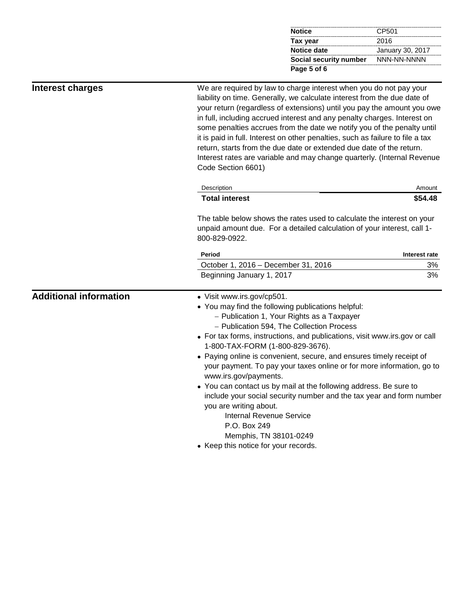| <b>Notice</b>          | CP501            |
|------------------------|------------------|
| Tax year               | 2016             |
| Notice date            | January 30, 2017 |
| Social security number | NNN-NN-NNNN      |
| Page 5 of 6            |                  |

| <b>Interest charges</b>       | We are required by law to charge interest when you do not pay your<br>liability on time. Generally, we calculate interest from the due date of<br>your return (regardless of extensions) until you pay the amount you owe<br>in full, including accrued interest and any penalty charges. Interest on<br>some penalties accrues from the date we notify you of the penalty until<br>it is paid in full. Interest on other penalties, such as failure to file a tax<br>return, starts from the due date or extended due date of the return.<br>Interest rates are variable and may change quarterly. (Internal Revenue<br>Code Section 6601)                                                                                                                         |               |  |
|-------------------------------|---------------------------------------------------------------------------------------------------------------------------------------------------------------------------------------------------------------------------------------------------------------------------------------------------------------------------------------------------------------------------------------------------------------------------------------------------------------------------------------------------------------------------------------------------------------------------------------------------------------------------------------------------------------------------------------------------------------------------------------------------------------------|---------------|--|
|                               | Description                                                                                                                                                                                                                                                                                                                                                                                                                                                                                                                                                                                                                                                                                                                                                         | Amount        |  |
|                               | <b>Total interest</b>                                                                                                                                                                                                                                                                                                                                                                                                                                                                                                                                                                                                                                                                                                                                               | \$54.48       |  |
|                               | The table below shows the rates used to calculate the interest on your<br>unpaid amount due. For a detailed calculation of your interest, call 1-<br>800-829-0922.                                                                                                                                                                                                                                                                                                                                                                                                                                                                                                                                                                                                  |               |  |
|                               | Period                                                                                                                                                                                                                                                                                                                                                                                                                                                                                                                                                                                                                                                                                                                                                              | Interest rate |  |
|                               | October 1, 2016 - December 31, 2016                                                                                                                                                                                                                                                                                                                                                                                                                                                                                                                                                                                                                                                                                                                                 | 3%            |  |
|                               | Beginning January 1, 2017                                                                                                                                                                                                                                                                                                                                                                                                                                                                                                                                                                                                                                                                                                                                           | 3%            |  |
| <b>Additional information</b> | · Visit www.irs.gov/cp501.<br>• You may find the following publications helpful:<br>- Publication 1, Your Rights as a Taxpayer<br>- Publication 594, The Collection Process<br>• For tax forms, instructions, and publications, visit www.irs.gov or call<br>1-800-TAX-FORM (1-800-829-3676).<br>• Paying online is convenient, secure, and ensures timely receipt of<br>your payment. To pay your taxes online or for more information, go to<br>www.irs.gov/payments.<br>• You can contact us by mail at the following address. Be sure to<br>include your social security number and the tax year and form number<br>you are writing about.<br><b>Internal Revenue Service</b><br>P.O. Box 249<br>Memphis, TN 38101-0249<br>• Keep this notice for your records. |               |  |